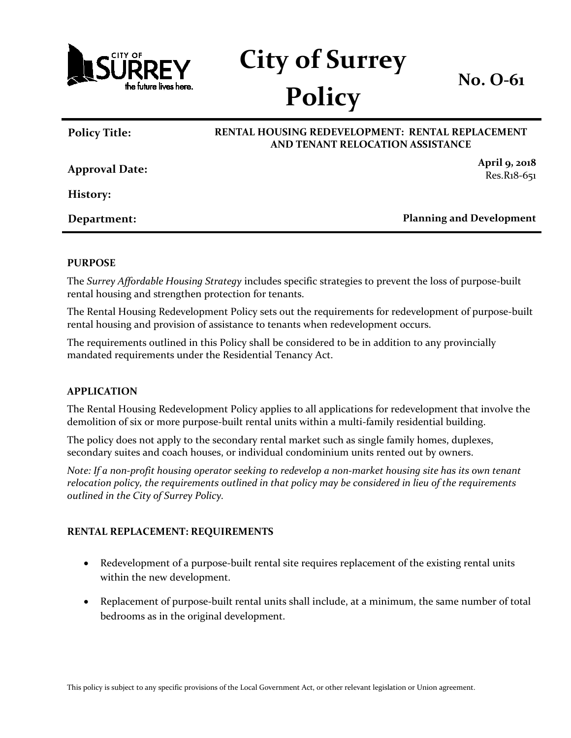

# **City of Surrey Policy**

**No. O-61**

## **Policy Title: RENTAL HOUSING REDEVELOPMENT: RENTAL REPLACEMENT AND TENANT RELOCATION ASSISTANCE Approval Date: April 9, 2018** Res.R18-651 **History:**

**Department: Planning and Development**

#### **PURPOSE**

The *Surrey Affordable Housing Strategy* includes specific strategies to prevent the loss of purpose-built rental housing and strengthen protection for tenants.

The Rental Housing Redevelopment Policy sets out the requirements for redevelopment of purpose-built rental housing and provision of assistance to tenants when redevelopment occurs.

The requirements outlined in this Policy shall be considered to be in addition to any provincially mandated requirements under the Residential Tenancy Act.

#### **APPLICATION**

The Rental Housing Redevelopment Policy applies to all applications for redevelopment that involve the demolition of six or more purpose-built rental units within a multi-family residential building.

The policy does not apply to the secondary rental market such as single family homes, duplexes, secondary suites and coach houses, or individual condominium units rented out by owners.

*Note: If a non-profit housing operator seeking to redevelop a non-market housing site has its own tenant relocation policy, the requirements outlined in that policy may be considered in lieu of the requirements outlined in the City of Surrey Policy.* 

#### **RENTAL REPLACEMENT: REQUIREMENTS**

- Redevelopment of a purpose-built rental site requires replacement of the existing rental units within the new development.
- Replacement of purpose-built rental units shall include, at a minimum, the same number of total bedrooms as in the original development.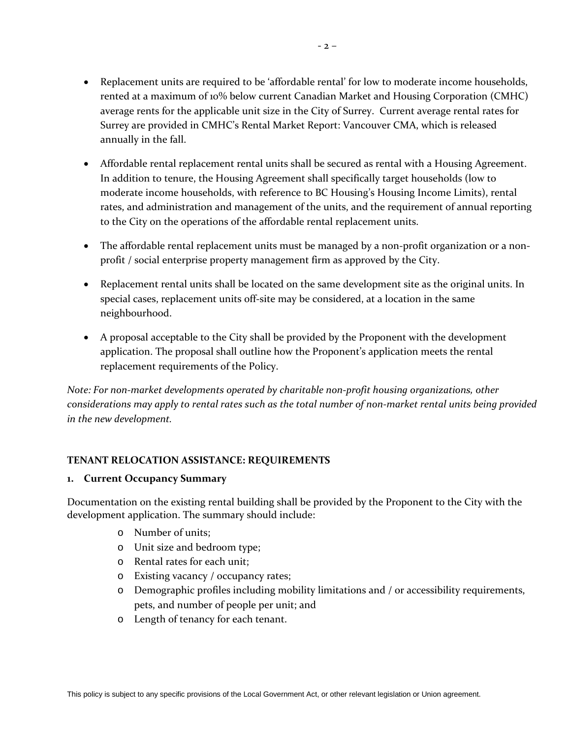- Replacement units are required to be 'affordable rental' for low to moderate income households, rented at a maximum of 10% below current Canadian Market and Housing Corporation (CMHC) average rents for the applicable unit size in the City of Surrey. Current average rental rates for Surrey are provided in CMHC's Rental Market Report: Vancouver CMA, which is released annually in the fall.
- Affordable rental replacement rental units shall be secured as rental with a Housing Agreement. In addition to tenure, the Housing Agreement shall specifically target households (low to moderate income households, with reference to BC Housing's Housing Income Limits), rental rates, and administration and management of the units, and the requirement of annual reporting to the City on the operations of the affordable rental replacement units.
- The affordable rental replacement units must be managed by a non-profit organization or a nonprofit / social enterprise property management firm as approved by the City.
- Replacement rental units shall be located on the same development site as the original units. In special cases, replacement units off-site may be considered, at a location in the same neighbourhood.
- A proposal acceptable to the City shall be provided by the Proponent with the development application. The proposal shall outline how the Proponent's application meets the rental replacement requirements of the Policy.

*Note: For non-market developments operated by charitable non-profit housing organizations, other considerations may apply to rental rates such as the total number of non-market rental units being provided in the new development.*

### **TENANT RELOCATION ASSISTANCE: REQUIREMENTS**

#### **1. Current Occupancy Summary**

Documentation on the existing rental building shall be provided by the Proponent to the City with the development application. The summary should include:

- o Number of units;
- o Unit size and bedroom type;
- o Rental rates for each unit;
- o Existing vacancy / occupancy rates;
- o Demographic profiles including mobility limitations and / or accessibility requirements, pets, and number of people per unit; and
- o Length of tenancy for each tenant.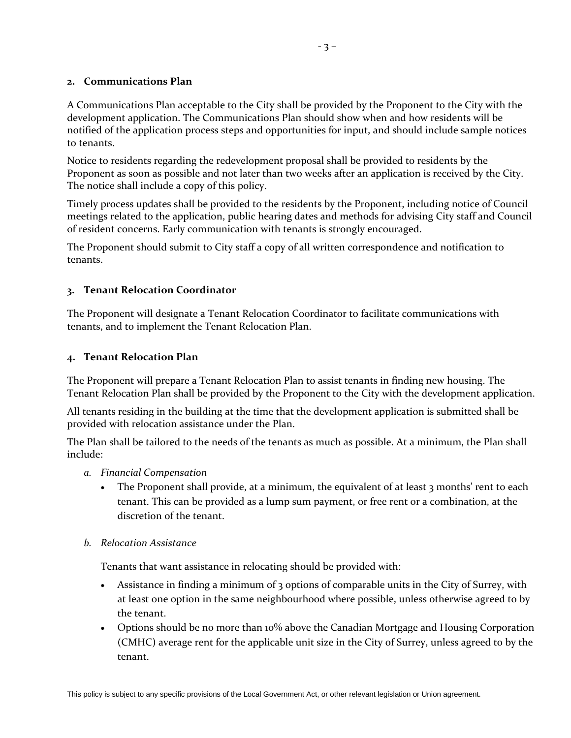#### **2. Communications Plan**

A Communications Plan acceptable to the City shall be provided by the Proponent to the City with the development application. The Communications Plan should show when and how residents will be notified of the application process steps and opportunities for input, and should include sample notices to tenants.

Notice to residents regarding the redevelopment proposal shall be provided to residents by the Proponent as soon as possible and not later than two weeks after an application is received by the City. The notice shall include a copy of this policy.

Timely process updates shall be provided to the residents by the Proponent, including notice of Council meetings related to the application, public hearing dates and methods for advising City staff and Council of resident concerns. Early communication with tenants is strongly encouraged.

The Proponent should submit to City staff a copy of all written correspondence and notification to tenants.

#### **3. Tenant Relocation Coordinator**

The Proponent will designate a Tenant Relocation Coordinator to facilitate communications with tenants, and to implement the Tenant Relocation Plan.

#### **4. Tenant Relocation Plan**

The Proponent will prepare a Tenant Relocation Plan to assist tenants in finding new housing. The Tenant Relocation Plan shall be provided by the Proponent to the City with the development application.

All tenants residing in the building at the time that the development application is submitted shall be provided with relocation assistance under the Plan.

The Plan shall be tailored to the needs of the tenants as much as possible. At a minimum, the Plan shall include:

- *a. Financial Compensation*
	- The Proponent shall provide, at a minimum, the equivalent of at least 3 months' rent to each tenant. This can be provided as a lump sum payment, or free rent or a combination, at the discretion of the tenant.

#### *b. Relocation Assistance*

Tenants that want assistance in relocating should be provided with:

- Assistance in finding a minimum of 3 options of comparable units in the City of Surrey, with at least one option in the same neighbourhood where possible, unless otherwise agreed to by the tenant.
- Options should be no more than 10% above the Canadian Mortgage and Housing Corporation (CMHC) average rent for the applicable unit size in the City of Surrey, unless agreed to by the tenant.